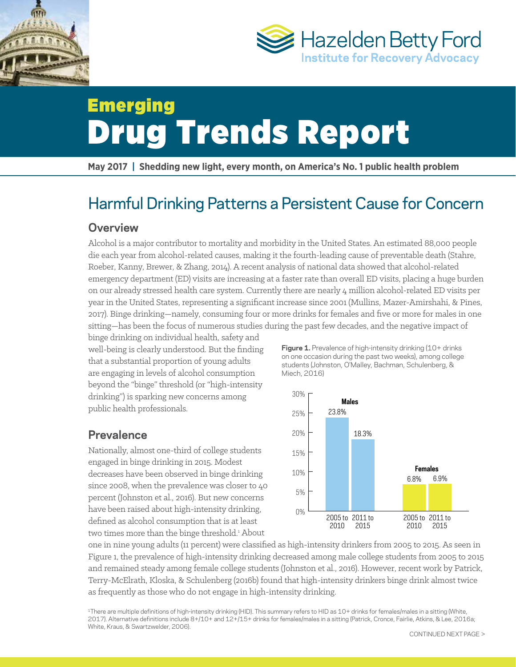



# Emerging Drug Trends Report

**May 2017 | Shedding new light, every month, on America's No. 1 public health problem** 

# Harmful Drinking Patterns a Persistent Cause for Concern

### **Overview**

Alcohol is a major contributor to mortality and morbidity in the United States. An estimated 88,000 people die each year from alcohol-related causes, making it the fourth-leading cause of preventable death (Stahre, Roeber, Kanny, Brewer, & Zhang, 2014). A recent analysis of national data showed that alcohol-related emergency department (ED) visits are increasing at a faster rate than overall ED visits, placing a huge burden on our already stressed health care system. Currently there are nearly 4 million alcohol-related ED visits per year in the United States, representing a signifcant increase since 2001 (Mullins, Mazer-Amirshahi, & Pines, 2017). Binge drinking—namely, consuming four or more drinks for females and fve or more for males in one siting—has been the focus of numerous studies during the past few decades, and the negative impact of

binge drinking on individual health, safety and on one occasion during the past two weeks), among collection that a substantial proportion of young adults students (Johnston, O'Malley, Bachman, Schulenberg, & are engaging in levels of alcohol consumption Miech, 2016) beyond the "binge" threshold (or "high-intensity drinking") is sparking new concerns among 30% public health professionals.  $25\%$  23.8%

Nationally, almost one-third of college students 15% engaged in binge drinking in 2015. Modest **Females**<br>decreases have been observed in binge drinking the state of the state of the state of the state of the state o since 2008, when the prevalence was closer to 40 percent (Johnston et al., 2016). But new concerns 5% have been raised about high-intensity drinking,  $\frac{1}{10\%}$ defined as alcohol consumption that is at least  $\frac{2005 \text{ to } 2011 \text{ to}}{2015}$  2005 2010 2015 2015 two times more than the binge threshold.<sup>1</sup> About

well-being is clearly understood. But the finding **Figure 1.** Prevalence of high-intensity drinking (10+ drinks<br>
that a substantial nuan exting a fareway a dulta on one occasion during the past two weeks), among college



one in nine young adults (11 percent) were classifed as high-intensity drinkers from 2005 to 2015. As seen in Figure 1, the prevalence of high-intensity drinking decreased among male college students from 2005 to 2015 and remained steady among female college students (Johnston et al., 2016). However, recent work by Patrick, Terry-McElrath, Kloska, & Schulenberg (2016b) found that high-intensity drinkers binge drink almost twice as frequently as those who do not engage in high-intensity drinking.

1There are multiple definitions of high-intensity drinking (HID). This summary refers to HID as 10+ drinks for females/males in a sitting (White, 2017). Alternative definitions include 8+/10+ and 12+/15+ drinks for females/males in a sitting (Patrick, Cronce, Fairlie, Atkins, & Lee, 2016a; White, Kraus, & Swartzwelder, 2006).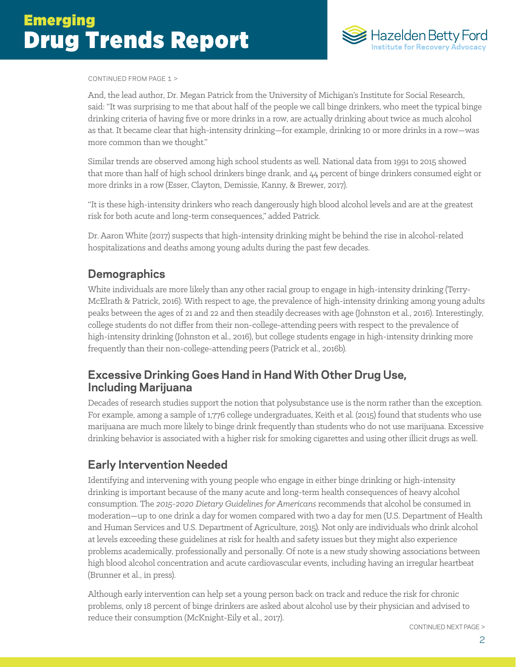

#### CONTINUED FROM PAGE 1 >

And, the lead author, Dr. Megan Patrick from the University of Michigan's Institute for Social Research, said: "It was surprising to me that about half of the people we call binge drinkers, who meet the typical binge drinking criteria of having fve or more drinks in a row, are actually drinking about twice as much alcohol as that. It became clear that high-intensity drinking—for example, drinking 10 or more drinks in a row—was more common than we thought."

Similar trends are observed among high school students as well. National data from 1991 to 2015 showed that more than half of high school drinkers binge drank, and 44 percent of binge drinkers consumed eight or more drinks in a row (Esser, Clayton, Demissie, Kanny, & Brewer, 2017).

"It is these high-intensity drinkers who reach dangerously high blood alcohol levels and are at the greatest risk for both acute and long-term consequences," added Patrick.

Dr. Aaron White (2017) suspects that high-intensity drinking might be behind the rise in alcohol-related hospitalizations and deaths among young adults during the past few decades.

# **Demographics**

White individuals are more likely than any other racial group to engage in high-intensity drinking (Terry-McElrath & Patrick, 2016). With respect to age, the prevalence of high-intensity drinking among young adults peaks between the ages of 21 and 22 and then steadily decreases with age (Johnston et al., 2016). Interestingly, college students do not difer from their non-college-atending peers with respect to the prevalence of high-intensity drinking (Johnston et al., 2016), but college students engage in high-intensity drinking more frequently than their non-college-atending peers (Patrick et al., 2016b).

# **Excessive Drinking Goes Hand in Hand With Other Drug Use, Including Marijuana**

Decades of research studies support the notion that polysubstance use is the norm rather than the exception. For example, among a sample of 1,776 college undergraduates, Keith et al. (2015) found that students who use marijuana are much more likely to binge drink frequently than students who do not use marijuana. Excessive drinking behavior is associated with a higher risk for smoking cigaretes and using other illicit drugs as well.

# **Early Intervention Needed**

Identifying and intervening with young people who engage in either binge drinking or high-intensity drinking is important because of the many acute and long-term health consequences of heavy alcohol consumption. The *2015-2020 Dietary Guidelines for Americans* recommends that alcohol be consumed in moderation—up to one drink a day for women compared with two a day for men (U.S. Department of Health and Human Services and U.S. Department of Agriculture, 2015). Not only are individuals who drink alcohol at levels exceeding these guidelines at risk for health and safety issues but they might also experience problems academically, professionally and personally. Of note is a new study showing associations between high blood alcohol concentration and acute cardiovascular events, including having an irregular heartbeat (Brunner et al., in press).

Although early intervention can help set a young person back on track and reduce the risk for chronic problems, only 18 percent of binge drinkers are asked about alcohol use by their physician and advised to reduce their consumption (McKnight-Eily et al., 2017).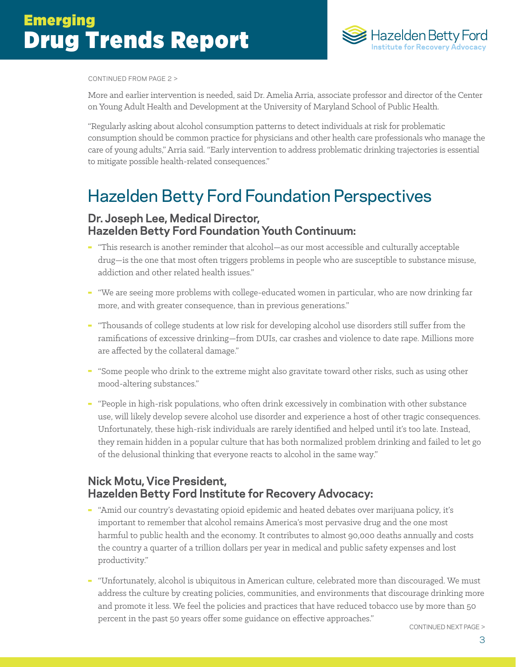

#### CONTINUED FROM PAGE 2 >

More and earlier intervention is needed, said Dr. Amelia Arria, associate professor and director of the Center on Young Adult Health and Development at the University of Maryland School of Public Health.

"Regularly asking about alcohol consumption paterns to detect individuals at risk for problematic consumption should be common practice for physicians and other health care professionals who manage the care of young adults," Arria said. "Early intervention to address problematic drinking trajectories is essential to mitigate possible health-related consequences."

# Hazelden Betty Ford Foundation Perspectives

### **Dr. Joseph Lee, Medical Director, Hazelden Betty Ford Foundation Youth Continuum:**

- "This research is another reminder that alcohol—as our most accessible and culturally acceptable drug—is the one that most often triggers problems in people who are susceptible to substance misuse, addiction and other related health issues."
- "We are seeing more problems with college-educated women in particular, who are now drinking far more, and with greater consequence, than in previous generations."
- "Thousands of college students at low risk for developing alcohol use disorders still sufer from the ramifcations of excessive drinking—from DUIs, car crashes and violence to date rape. Millions more are afected by the collateral damage."
- "Some people who drink to the extreme might also gravitate toward other risks, such as using other mood-altering substances."
- "People in high-risk populations, who ofen drink excessively in combination with other substance use, will likely develop severe alcohol use disorder and experience a host of other tragic consequences. Unfortunately, these high-risk individuals are rarely identifed and helped until it's too late. Instead, they remain hidden in a popular culture that has both normalized problem drinking and failed to let go of the delusional thinking that everyone reacts to alcohol in the same way."

# **Nick Motu, Vice President, Hazelden Betty Ford Institute for Recovery Advocacy:**

- "Amid our country's devastating opioid epidemic and heated debates over marijuana policy, it's important to remember that alcohol remains America's most pervasive drug and the one most harmful to public health and the economy. It contributes to almost 90,000 deaths annually and costs the country a quarter of a trillion dollars per year in medical and public safety expenses and lost productivity."
- "Unfortunately, alcohol is ubiquitous in American culture, celebrated more than discouraged. We must address the culture by creating policies, communities, and environments that discourage drinking more and promote it less. We feel the policies and practices that have reduced tobacco use by more than 50 percent in the past 50 years offer some guidance on effective approaches."